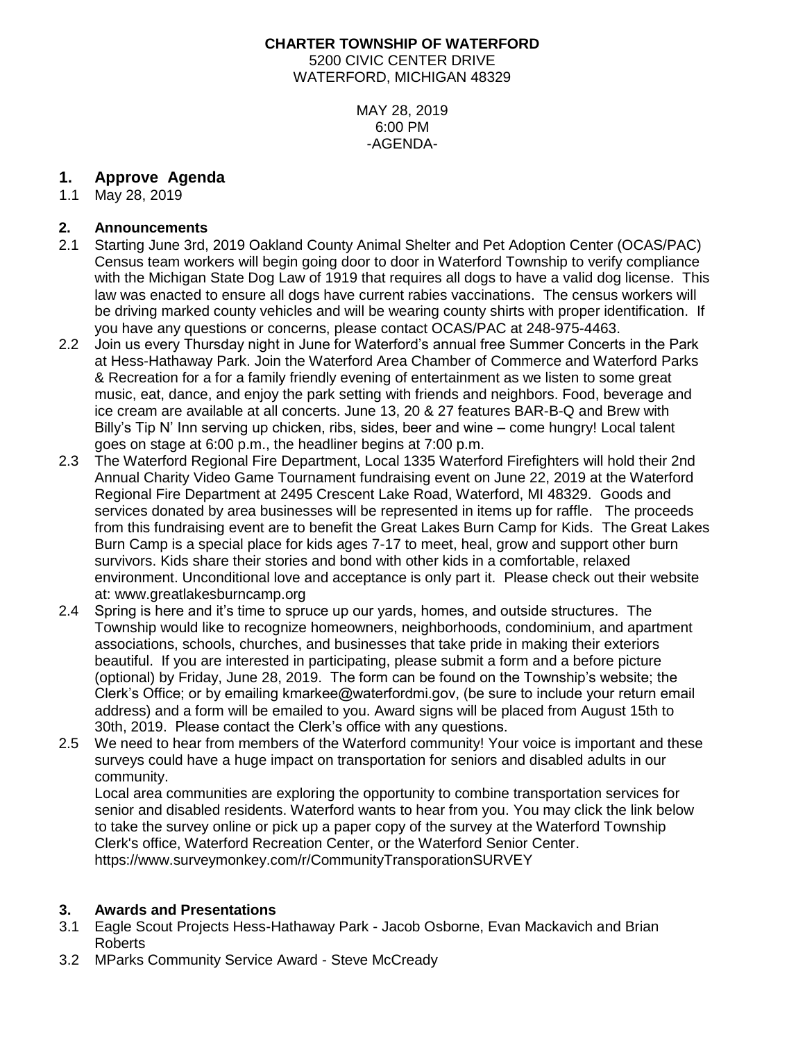### **CHARTER TOWNSHIP OF WATERFORD** 5200 CIVIC CENTER DRIVE WATERFORD, MICHIGAN 48329

MAY 28, 2019 6:00 PM -AGENDA-

# **1. Approve Agenda**

1.1 May 28, 2019

# **2. Announcements**

- 2.1 Starting June 3rd, 2019 Oakland County Animal Shelter and Pet Adoption Center (OCAS/PAC) Census team workers will begin going door to door in Waterford Township to verify compliance with the Michigan State Dog Law of 1919 that requires all dogs to have a valid dog license. This law was enacted to ensure all dogs have current rabies vaccinations. The census workers will be driving marked county vehicles and will be wearing county shirts with proper identification. If you have any questions or concerns, please contact OCAS/PAC at 248-975-4463.
- 2.2 Join us every Thursday night in June for Waterford's annual free Summer Concerts in the Park at Hess-Hathaway Park. Join the Waterford Area Chamber of Commerce and Waterford Parks & Recreation for a for a family friendly evening of entertainment as we listen to some great music, eat, dance, and enjoy the park setting with friends and neighbors. Food, beverage and ice cream are available at all concerts. June 13, 20 & 27 features BAR-B-Q and Brew with Billy's Tip N' Inn serving up chicken, ribs, sides, beer and wine – come hungry! Local talent goes on stage at 6:00 p.m., the headliner begins at 7:00 p.m.
- 2.3 The Waterford Regional Fire Department, Local 1335 Waterford Firefighters will hold their 2nd Annual Charity Video Game Tournament fundraising event on June 22, 2019 at the Waterford Regional Fire Department at 2495 Crescent Lake Road, Waterford, MI 48329. Goods and services donated by area businesses will be represented in items up for raffle. The proceeds from this fundraising event are to benefit the Great Lakes Burn Camp for Kids. The Great Lakes Burn Camp is a special place for kids ages 7-17 to meet, heal, grow and support other burn survivors. Kids share their stories and bond with other kids in a comfortable, relaxed environment. Unconditional love and acceptance is only part it. Please check out their website at: [www.greatlakesburncamp.org](http://www.greatlakesburncamp.org/)
- 2.4 Spring is here and it's time to spruce up our yards, homes, and outside structures. The Township would like to recognize homeowners, neighborhoods, condominium, and apartment associations, schools, churches, and businesses that take pride in making their exteriors beautiful. If you are interested in participating, please submit a form and a before picture (optional) by Friday, June 28, 2019. The form can be found on the Township's website; the Clerk's Office; or by emailing kmarkee@waterfordmi.gov, (be sure to include your return email address) and a form will be emailed to you. Award signs will be placed from August 15th to 30th, 2019. Please contact the Clerk's office with any questions.
- 2.5 We need to hear from members of the Waterford community! Your voice is important and these surveys could have a huge impact on transportation for seniors and disabled adults in our community.

Local area communities are exploring the opportunity to combine transportation services for senior and disabled residents. Waterford wants to hear from you. You may click the link below to take the survey online or pick up a paper copy of the survey at the Waterford Township Clerk's office, Waterford Recreation Center, or the Waterford Senior Center. https://www.surveymonkey.com/r/CommunityTransporationSURVEY

# **3. Awards and Presentations**

- 3.1 Eagle Scout Projects Hess-Hathaway Park Jacob Osborne, Evan Mackavich and Brian Roberts
- 3.2 MParks Community Service Award Steve McCready